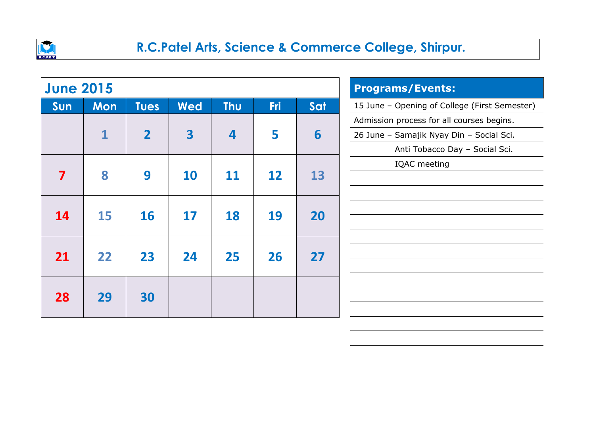

| <b>June 2015</b> |              |                |                         | <b>Programs/Events:</b> |            |     |                                               |
|------------------|--------------|----------------|-------------------------|-------------------------|------------|-----|-----------------------------------------------|
| Sun              | <b>Mon</b>   | <b>Tues</b>    | <b>Wed</b>              | <b>Thu</b>              | <b>Fri</b> | Sat | 15 June - Opening of College (First Semester) |
|                  |              |                |                         |                         |            |     | Admission process for all courses begins.     |
|                  | $\mathbf{1}$ | $\overline{2}$ | $\overline{\mathbf{3}}$ | $\overline{\mathbf{4}}$ | 5          | 6   | 26 June - Samajik Nyay Din - Social Sci.      |
|                  |              |                |                         |                         |            |     | Anti Tobacco Day - Social Sci.                |
|                  |              |                |                         |                         |            |     | IQAC meeting                                  |
| 7                | 8            | 9              | <b>10</b>               | 11                      | 12         | 13  |                                               |
|                  |              |                |                         |                         |            |     |                                               |
| 14               | 15           | <b>16</b>      | 17                      | 18                      | 19         | 20  |                                               |
|                  |              |                |                         |                         |            |     |                                               |
|                  |              |                |                         |                         |            |     |                                               |
| 21               | 22           | 23             | 24                      | 25                      | 26         | 27  |                                               |
|                  |              |                |                         |                         |            |     |                                               |
|                  |              |                |                         |                         |            |     |                                               |
| 28               | 29           | 30             |                         |                         |            |     |                                               |
|                  |              |                |                         |                         |            |     |                                               |
|                  |              |                |                         |                         |            |     |                                               |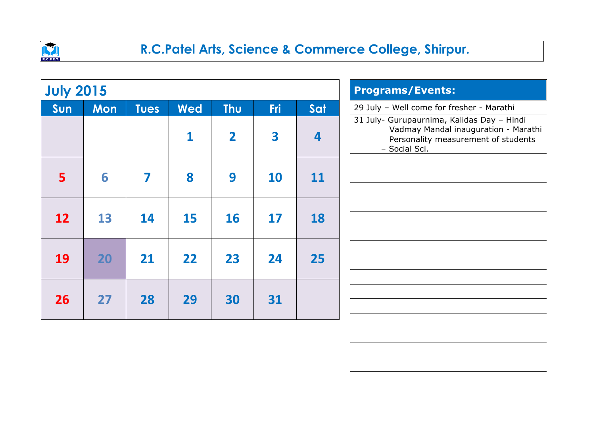

| <b>July 2015</b> |            |             |            | <b>Programs/Events:</b> |            |                         |                                                                                                                                            |
|------------------|------------|-------------|------------|-------------------------|------------|-------------------------|--------------------------------------------------------------------------------------------------------------------------------------------|
| Sun              | <b>Mon</b> | <b>Tues</b> | <b>Wed</b> | <b>Thu</b>              | <b>Fri</b> | Sat                     | 29 July - Well come for fresher - Marathi                                                                                                  |
|                  |            |             | 1          | $\overline{\mathbf{2}}$ | 3          | $\overline{\mathbf{4}}$ | 31 July- Gurupaurnima, Kalidas Day - Hindi<br>Vadmay Mandal inauguration - Marathi<br>Personality measurement of students<br>- Social Sci. |
| 5                | 6          | 7           | 8          | 9                       | 10         | 11                      |                                                                                                                                            |
| 12               | 13         | 14          | 15         | <b>16</b>               | 17         | 18                      |                                                                                                                                            |
| <b>19</b>        | 20         | 21          | 22         | 23                      | 24         | 25                      |                                                                                                                                            |
| 26               | 27         | 28          | 29         | 30                      | 31         |                         |                                                                                                                                            |
|                  |            |             |            |                         |            |                         |                                                                                                                                            |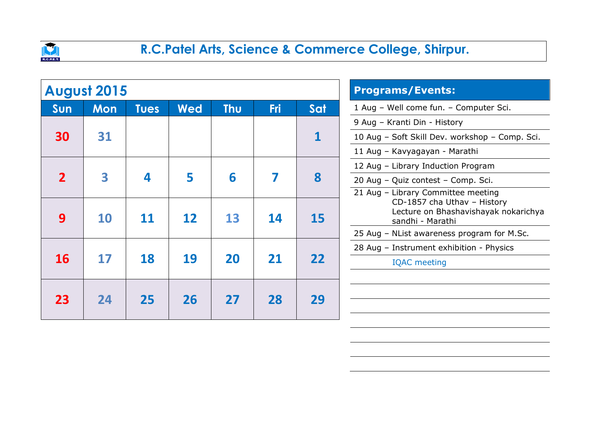

|                | <b>August 2015</b> |             |            | <b>Programs/Events:</b>            |     |             |                                                                                         |
|----------------|--------------------|-------------|------------|------------------------------------|-----|-------------|-----------------------------------------------------------------------------------------|
| Sun            | <b>Mon</b>         | <b>Tues</b> | <b>Wed</b> | <b>Thu</b>                         | Fri | Sat         | 1 Aug - Well come fun. - Computer Sci.                                                  |
|                |                    |             |            |                                    |     |             | 9 Aug - Kranti Din - History                                                            |
| 30             | 31                 |             |            |                                    |     | $\mathbf 1$ | 10 Aug - Soft Skill Dev. workshop - Comp. Sci.                                          |
|                |                    |             |            |                                    |     |             | 11 Aug - Kavyagayan - Marathi                                                           |
|                |                    |             |            | 12 Aug - Library Induction Program |     |             |                                                                                         |
| $\overline{2}$ | 3                  | 4           | 5          | 6                                  | 7   | 8           | 20 Aug - Quiz contest - Comp. Sci.                                                      |
|                |                    |             |            |                                    |     |             | 21 Aug - Library Committee meeting                                                      |
| 9              | 10                 | 11          | 12         | 13                                 | 14  | 15          | CD-1857 cha Uthav - History<br>Lecture on Bhashavishayak nokarichya<br>sandhi - Marathi |
|                |                    |             |            |                                    |     |             | 25 Aug - NList awareness program for M.Sc.                                              |
|                |                    |             |            |                                    |     |             | 28 Aug - Instrument exhibition - Physics                                                |
| <b>16</b>      | 17                 | 18          | 19         | 20                                 | 21  | 22          | <b>IQAC</b> meeting                                                                     |
|                |                    |             |            |                                    |     |             |                                                                                         |
| 23             | 24                 | 25          | 26         | 27                                 | 28  | 29          |                                                                                         |
|                |                    |             |            |                                    |     |             |                                                                                         |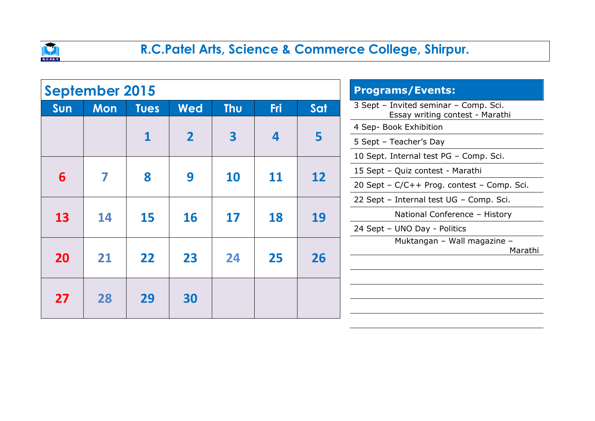

|           | <b>September 2015</b> |             |                | <b>Programs/Events:</b> |                         |                        |                                                                          |
|-----------|-----------------------|-------------|----------------|-------------------------|-------------------------|------------------------|--------------------------------------------------------------------------|
| Sun       | <b>Mon</b>            | <b>Tues</b> | <b>Wed</b>     | <b>Thu</b>              | <b>Fri</b>              | Sat                    | 3 Sept - Invited seminar - Comp. Sci.<br>Essay writing contest - Marathi |
|           |                       |             |                |                         |                         | 4 Sep- Book Exhibition |                                                                          |
|           |                       |             | $\overline{2}$ | 3                       | $\overline{\mathbf{4}}$ | 5                      | 5 Sept - Teacher's Day                                                   |
|           |                       |             |                |                         |                         |                        | 10 Sept. Internal test PG - Comp. Sci.                                   |
| 6         | 7                     | 8           | 9              | 10                      | <b>11</b>               | 12                     | 15 Sept - Quiz contest - Marathi                                         |
|           |                       |             |                |                         |                         |                        |                                                                          |
|           |                       |             |                |                         | <b>18</b>               |                        | 22 Sept - Internal test UG - Comp. Sci.                                  |
| <b>13</b> | 14                    | 15          | <b>16</b>      | 17                      |                         | 19                     | National Conference - History                                            |
|           |                       |             |                |                         |                         |                        | 24 Sept - UNO Day - Politics                                             |
|           |                       |             |                |                         |                         |                        | Muktangan - Wall magazine -<br>Marathi                                   |
| <b>20</b> | 21                    | 22          | 23             | 24                      | 25                      | 26                     |                                                                          |
|           |                       |             |                |                         |                         |                        |                                                                          |
|           |                       |             |                |                         |                         |                        |                                                                          |
| 27        | 28                    | 29          | 30             |                         |                         |                        |                                                                          |
|           |                       |             |                |                         |                         |                        |                                                                          |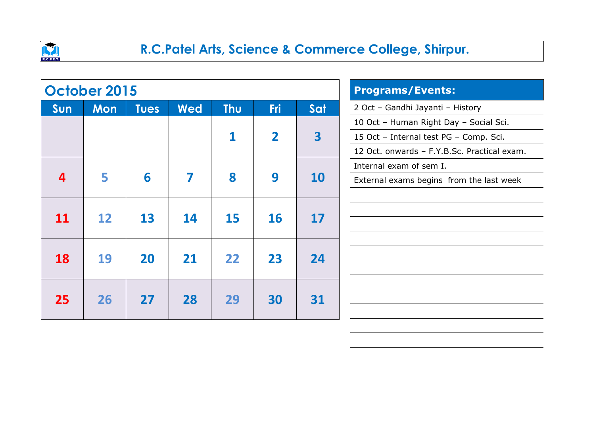

|                         | <b>October 2015</b> |             |            | <b>Programs/Events:</b> |                |                         |                                             |
|-------------------------|---------------------|-------------|------------|-------------------------|----------------|-------------------------|---------------------------------------------|
| Sun                     | <b>Mon</b>          | <b>Tues</b> | <b>Wed</b> | <b>Thu</b>              | <b>Fri</b>     | Sat                     | 2 Oct - Gandhi Jayanti - History            |
|                         |                     |             |            |                         |                |                         | 10 Oct - Human Right Day - Social Sci.      |
|                         |                     |             |            | 1                       | $\overline{2}$ | $\overline{\mathbf{3}}$ | 15 Oct - Internal test PG - Comp. Sci.      |
|                         |                     |             |            |                         |                |                         | 12 Oct. onwards - F.Y.B.Sc. Practical exam. |
|                         |                     |             |            |                         |                |                         | Internal exam of sem I.                     |
| $\overline{\mathbf{4}}$ | 5                   | 6           | 7          | 8                       | 9              | <b>10</b>               | External exams begins from the last week    |
|                         |                     |             |            |                         |                |                         |                                             |
|                         |                     |             |            |                         |                |                         |                                             |
| <b>11</b>               | 12                  | 13          | 14         | 15                      | <b>16</b>      | 17                      |                                             |
|                         |                     |             |            |                         |                |                         |                                             |
| <b>18</b>               | 19                  | 20          | 21         | 22                      | 23             | 24                      |                                             |
|                         |                     |             |            |                         |                |                         |                                             |
|                         |                     |             |            |                         |                |                         |                                             |
| 25                      | 26                  | 27          | 28         | 29                      | 30             | 31                      |                                             |
|                         |                     |             |            |                         |                |                         |                                             |
|                         |                     |             |            |                         |                |                         |                                             |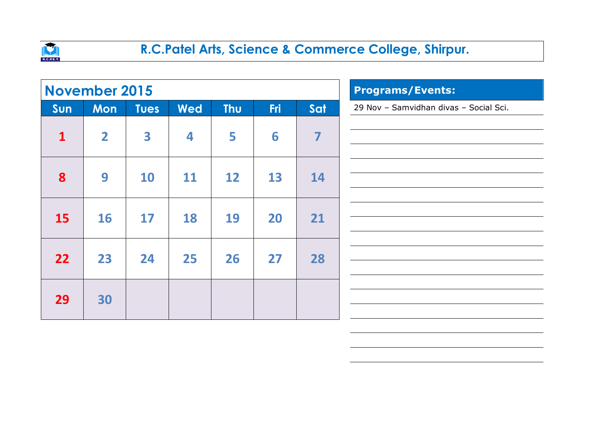

|              | <b>November 2015</b> |             |            | <b>Programs/Events:</b> |            |     |                                        |
|--------------|----------------------|-------------|------------|-------------------------|------------|-----|----------------------------------------|
| Sun          | <b>Mon</b>           | <b>Tues</b> | <b>Wed</b> | <b>Thu</b>              | <b>Fri</b> | Sat | 29 Nov - Samvidhan divas - Social Sci. |
| $\mathbf{1}$ | $\overline{2}$       | 3           | 4          | 5                       | 6          | 7   |                                        |
| 8            | 9                    | <b>10</b>   | 11         | 12                      | 13         | 14  |                                        |
| <b>15</b>    | 16                   | 17          | 18         | 19                      | 20         | 21  |                                        |
| 22           | 23                   | 24          | 25         | 26                      | 27         | 28  |                                        |
| 29           | 30                   |             |            |                         |            |     |                                        |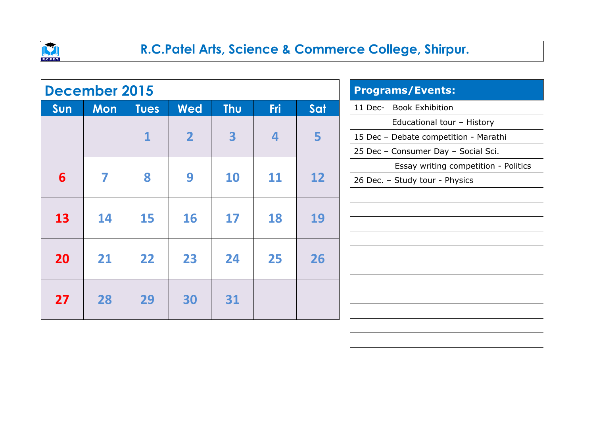

|           | December 2015 |             |                | <b>Programs/Events:</b> |                         |     |                                       |
|-----------|---------------|-------------|----------------|-------------------------|-------------------------|-----|---------------------------------------|
| Sun       | <b>Mon</b>    | <b>Tues</b> | <b>Wed</b>     | <b>Thu</b>              | <b>Fri</b>              | Sat | <b>Book Exhibition</b><br>11 Dec-     |
|           |               |             |                |                         |                         |     | Educational tour - History            |
|           |               | 1           | $\overline{2}$ | 3                       | $\overline{\mathbf{4}}$ | 5   | 15 Dec - Debate competition - Marathi |
|           |               |             |                |                         |                         |     | 25 Dec - Consumer Day - Social Sci.   |
|           |               |             |                |                         |                         |     | Essay writing competition - Politics  |
| 6         | 7             | 8           | 9              | 10                      | 11                      | 12  | 26 Dec. - Study tour - Physics        |
|           |               |             |                |                         |                         |     |                                       |
|           |               |             |                |                         |                         |     |                                       |
| 13        | 14            | 15          | <b>16</b>      | 17                      | 18                      | 19  |                                       |
|           |               |             |                |                         |                         |     |                                       |
| <b>20</b> | 21            | 22          | 23             | 24                      | 25                      | 26  |                                       |
|           |               |             |                |                         |                         |     |                                       |
|           |               |             |                |                         |                         |     |                                       |
| 27        | 28            | 29          | 30             | 31                      |                         |     |                                       |
|           |               |             |                |                         |                         |     |                                       |
|           |               |             |                |                         |                         |     |                                       |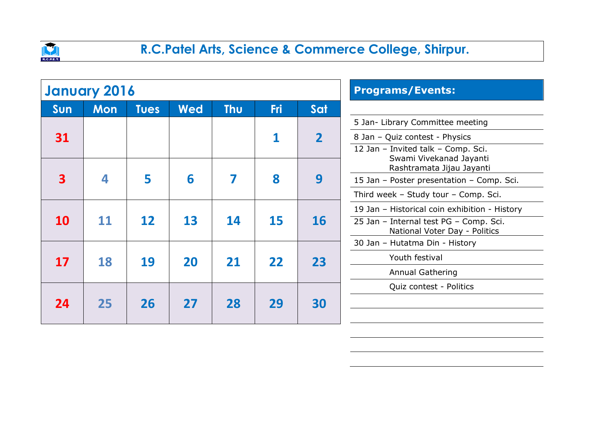

|                         | <b>January 2016</b> |             |            | <b>Programs/Events:</b> |                                               |                |                                                                         |
|-------------------------|---------------------|-------------|------------|-------------------------|-----------------------------------------------|----------------|-------------------------------------------------------------------------|
| Sun                     | <b>Mon</b>          | <b>Tues</b> | <b>Wed</b> | <b>Thu</b>              | <b>Fri</b>                                    | Sat            |                                                                         |
|                         |                     |             |            |                         |                                               |                | 5 Jan- Library Committee meeting                                        |
| 31                      |                     |             |            |                         | 1                                             | $\overline{2}$ | 8 Jan - Quiz contest - Physics                                          |
|                         |                     |             |            |                         |                                               |                | 12 Jan - Invited talk - Comp. Sci.                                      |
|                         |                     |             |            |                         |                                               |                | Swami Vivekanad Jayanti<br>Rashtramata Jijau Jayanti                    |
| $\overline{\mathbf{3}}$ | 4                   | 5           | 6          | 7                       | 8                                             | 9              | 15 Jan - Poster presentation - Comp. Sci.                               |
|                         |                     |             |            |                         |                                               |                | Third week - Study tour - Comp. Sci.                                    |
|                         |                     |             |            |                         | 19 Jan - Historical coin exhibition - History |                |                                                                         |
| <b>10</b>               | 11                  | 12          | 13         | 14                      | 15                                            | 16             | 25 Jan - Internal test PG - Comp. Sci.<br>National Voter Day - Politics |
|                         |                     |             |            |                         |                                               |                | 30 Jan - Hutatma Din - History                                          |
| 17                      | 18                  | 19          | 20         | 21                      | 22                                            | 23             | Youth festival                                                          |
|                         |                     |             |            |                         |                                               |                | <b>Annual Gathering</b>                                                 |
|                         |                     |             |            |                         |                                               |                | Quiz contest - Politics                                                 |
| 24                      | 25                  | 26          | 27         | 28                      | 29                                            | 30             |                                                                         |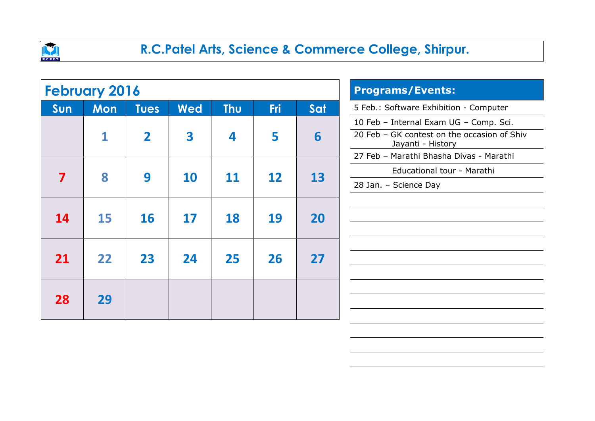

|           | <b>February 2016</b> |              |            | <b>Programs/Events:</b> |            |     |                                                                                                                                                       |
|-----------|----------------------|--------------|------------|-------------------------|------------|-----|-------------------------------------------------------------------------------------------------------------------------------------------------------|
| Sun       | <b>Mon</b>           | <b>Tues</b>  | <b>Wed</b> | <b>Thu</b>              | <b>Fri</b> | Sat | 5 Feb.: Software Exhibition - Computer                                                                                                                |
|           | 1                    | $\mathbf{2}$ | 3          | 4                       | 5          | 6   | 10 Feb - Internal Exam UG - Comp. Sci.<br>20 Feb - GK contest on the occasion of Shiv<br>Jayanti - History<br>27 Feb - Marathi Bhasha Divas - Marathi |
| 7         | 8                    | 9            | <b>10</b>  | 11                      | 12         | 13  | Educational tour - Marathi<br>28 Jan. - Science Day                                                                                                   |
| <b>14</b> | <b>15</b>            | <b>16</b>    | <b>17</b>  | 18                      | <b>19</b>  | 20  |                                                                                                                                                       |
| 21        | 22                   | 23           | 24         | 25                      | 26         | 27  |                                                                                                                                                       |
| 28        | 29                   |              |            |                         |            |     |                                                                                                                                                       |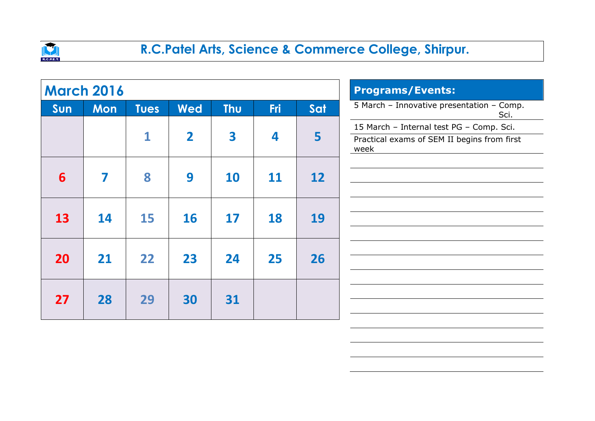

|     | <b>March 2016</b> |             |                         | <b>Programs/Events:</b> |            |     |                                                                                                 |
|-----|-------------------|-------------|-------------------------|-------------------------|------------|-----|-------------------------------------------------------------------------------------------------|
| Sun | <b>Mon</b>        | <b>Tues</b> | <b>Wed</b>              | <b>Thu</b>              | <b>Fri</b> | Sat | 5 March - Innovative presentation - Comp.<br>Sci.                                               |
|     |                   | $\mathbf 1$ | $\overline{\mathbf{2}}$ | 3                       | 4          | 5   | 15 March - Internal test PG - Comp. Sci.<br>Practical exams of SEM II begins from first<br>week |
| 6   | 7                 | 8           | 9                       | <b>10</b>               | 11         | 12  |                                                                                                 |
| 13  | 14                | 15          | <b>16</b>               | 17                      | 18         | 19  |                                                                                                 |
| 20  | 21                | 22          | 23                      | 24                      | 25         | 26  |                                                                                                 |
| 27  | 28                | 29          | 30                      | 31                      |            |     |                                                                                                 |
|     |                   |             |                         |                         |            |     |                                                                                                 |